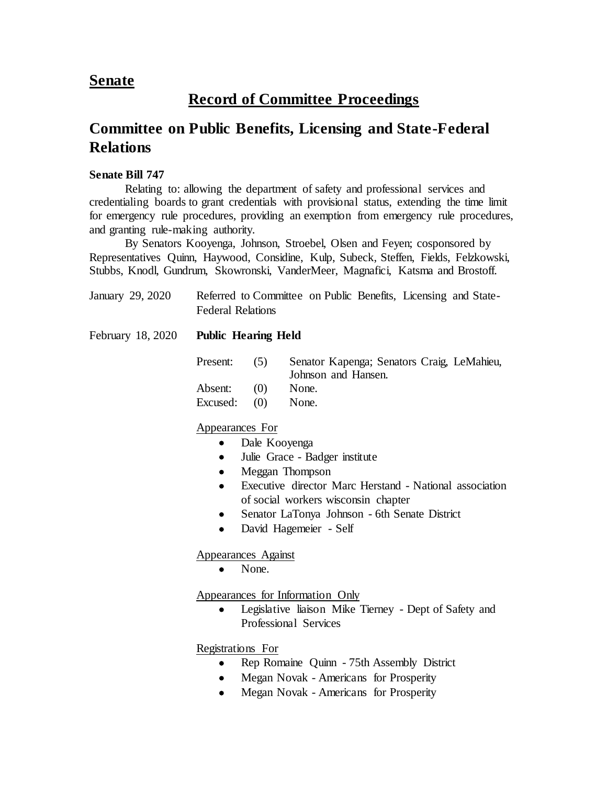## **Senate**

# **Record of Committee Proceedings**

# **Committee on Public Benefits, Licensing and State-Federal Relations**

### **Senate Bill 747**

Relating to: allowing the department of safety and professional services and credentialing boards to grant credentials with provisional status, extending the time limit for emergency rule procedures, providing an exemption from emergency rule procedures, and granting rule-making authority.

By Senators Kooyenga, Johnson, Stroebel, Olsen and Feyen; cosponsored by Representatives Quinn, Haywood, Considine, Kulp, Subeck, Steffen, Fields, Felzkowski, Stubbs, Knodl, Gundrum, Skowronski, VanderMeer, Magnafici, Katsma and Brostoff.

| January 29, 2020  | Referred to Committee on Public Benefits, Licensing and State-<br><b>Federal Relations</b><br><b>Public Hearing Held</b> |     |                                                                   |  |  |  |
|-------------------|--------------------------------------------------------------------------------------------------------------------------|-----|-------------------------------------------------------------------|--|--|--|
| February 18, 2020 |                                                                                                                          |     |                                                                   |  |  |  |
|                   | Present:                                                                                                                 | (5) | Senator Kapenga; Senators Craig, LeMahieu,<br>Johnson and Hansen. |  |  |  |
|                   | Absent:                                                                                                                  | (0) | None.                                                             |  |  |  |

### Excused: (0) None.

#### Appearances For

- Dale Kooyenga
- Julie Grace Badger institute
- Meggan Thompson
- Executive director Marc Herstand National association of social workers wisconsin chapter
- Senator LaTonya Johnson 6th Senate District
- David Hagemeier Self

#### Appearances Against

• None.

#### Appearances for Information Only

• Legislative liaison Mike Tierney - Dept of Safety and Professional Services

#### Registrations For

- Rep Romaine Quinn 75th Assembly District
- Megan Novak Americans for Prosperity
- Megan Novak Americans for Prosperity